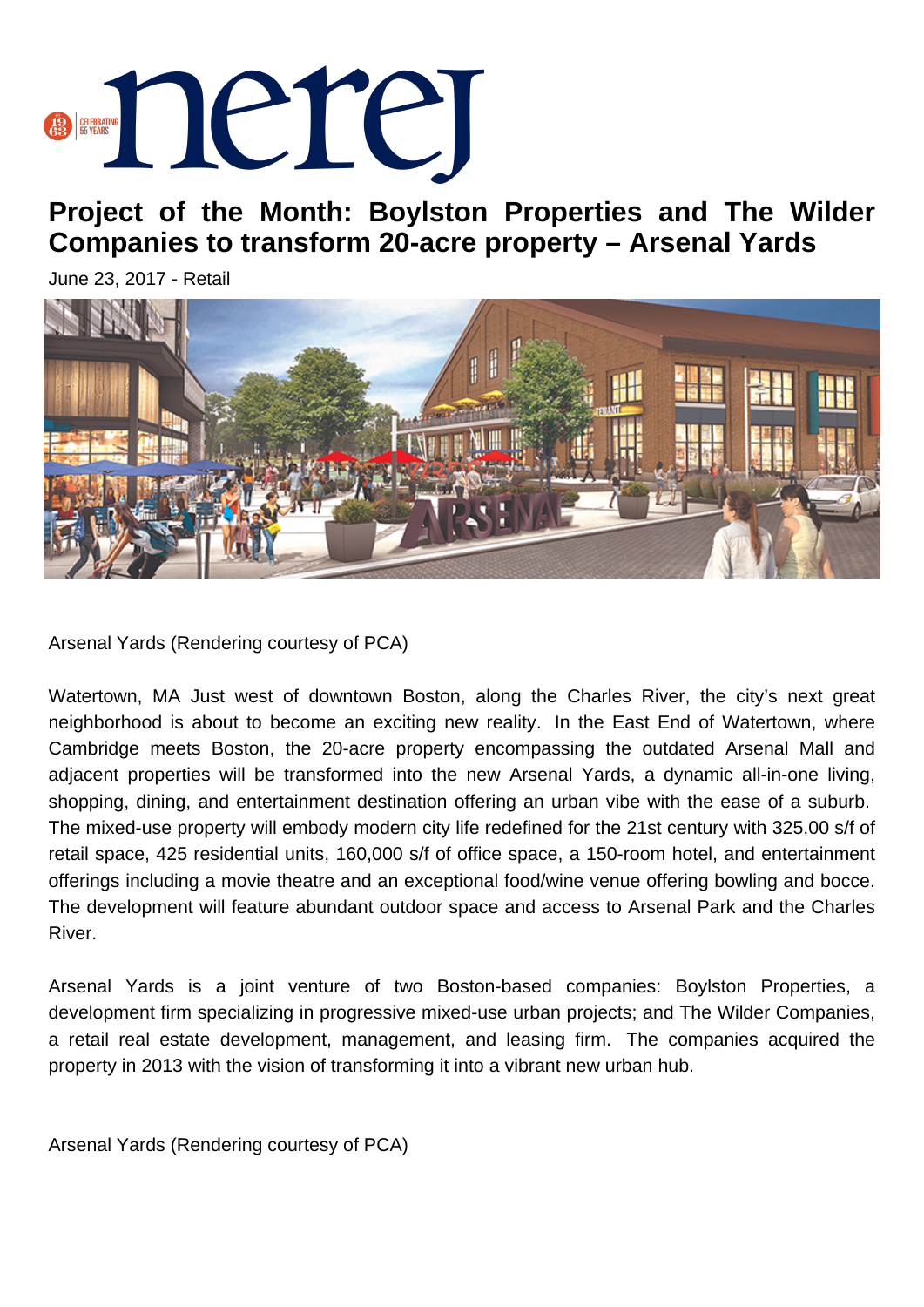## **BERRING DETER**

**Project of the Month: Boylston Properties and The Wilder Companies to transform 20-acre property – Arsenal Yards**

June 23, 2017 - Retail



Arsenal Yards (Rendering courtesy of PCA)

Watertown, MA Just west of downtown Boston, along the Charles River, the city's next great neighborhood is about to become an exciting new reality. In the East End of Watertown, where Cambridge meets Boston, the 20-acre property encompassing the outdated Arsenal Mall and adjacent properties will be transformed into the new Arsenal Yards, a dynamic all-in-one living, shopping, dining, and entertainment destination offering an urban vibe with the ease of a suburb. The mixed-use property will embody modern city life redefined for the 21st century with 325,00 s/f of retail space, 425 residential units, 160,000 s/f of office space, a 150-room hotel, and entertainment offerings including a movie theatre and an exceptional food/wine venue offering bowling and bocce. The development will feature abundant outdoor space and access to Arsenal Park and the Charles River.

Arsenal Yards is a joint venture of two Boston-based companies: Boylston Properties, a development firm specializing in progressive mixed-use urban projects; and The Wilder Companies, a retail real estate development, management, and leasing firm. The companies acquired the property in 2013 with the vision of transforming it into a vibrant new urban hub.

Arsenal Yards (Rendering courtesy of PCA)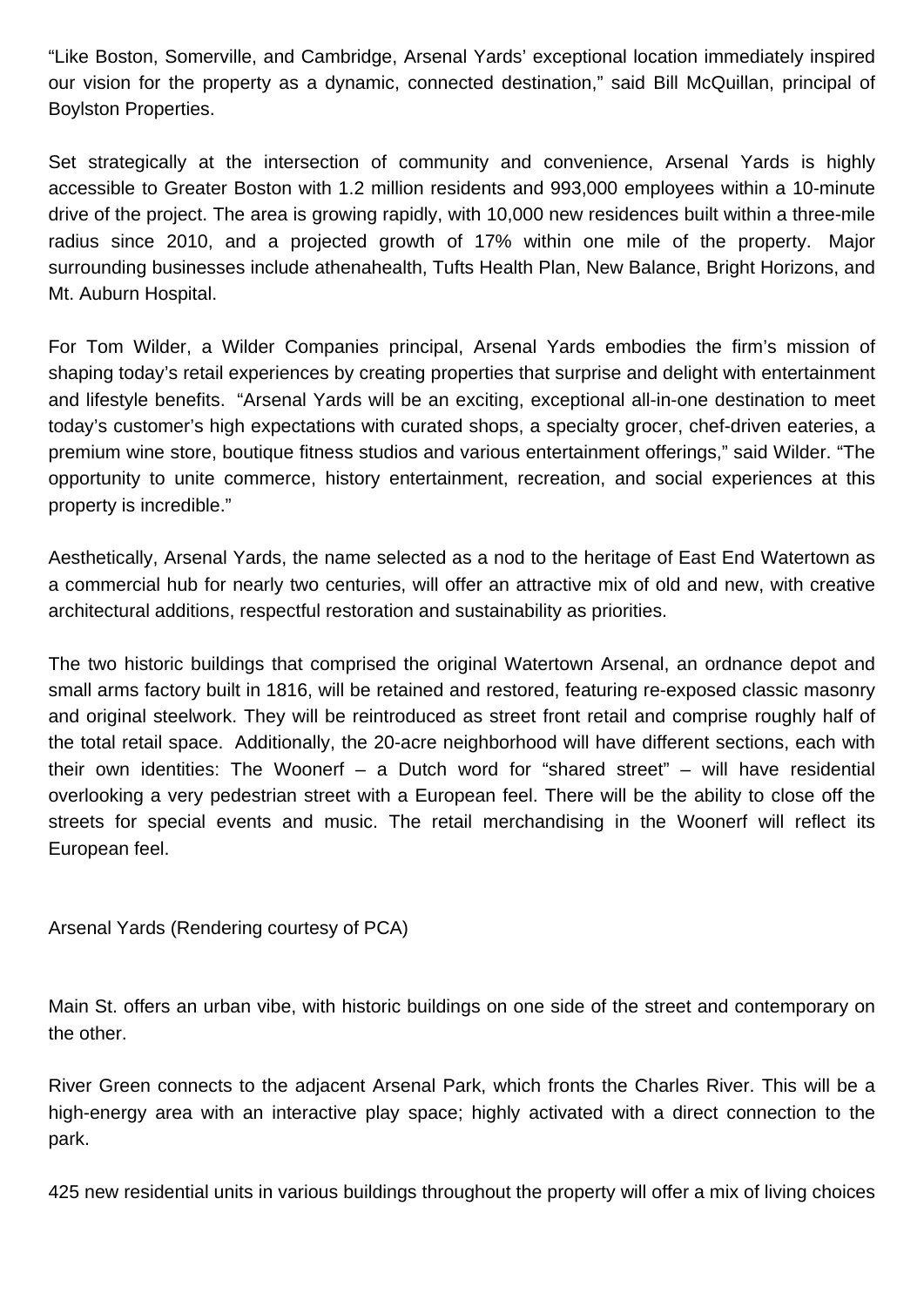"Like Boston, Somerville, and Cambridge, Arsenal Yards' exceptional location immediately inspired our vision for the property as a dynamic, connected destination," said Bill McQuillan, principal of Boylston Properties.

Set strategically at the intersection of community and convenience, Arsenal Yards is highly accessible to Greater Boston with 1.2 million residents and 993,000 employees within a 10-minute drive of the project. The area is growing rapidly, with 10,000 new residences built within a three-mile radius since 2010, and a projected growth of 17% within one mile of the property. Major surrounding businesses include athenahealth, Tufts Health Plan, New Balance, Bright Horizons, and Mt. Auburn Hospital.

For Tom Wilder, a Wilder Companies principal, Arsenal Yards embodies the firm's mission of shaping today's retail experiences by creating properties that surprise and delight with entertainment and lifestyle benefits. "Arsenal Yards will be an exciting, exceptional all-in-one destination to meet today's customer's high expectations with curated shops, a specialty grocer, chef-driven eateries, a premium wine store, boutique fitness studios and various entertainment offerings," said Wilder. "The opportunity to unite commerce, history entertainment, recreation, and social experiences at this property is incredible."

Aesthetically, Arsenal Yards, the name selected as a nod to the heritage of East End Watertown as a commercial hub for nearly two centuries, will offer an attractive mix of old and new, with creative architectural additions, respectful restoration and sustainability as priorities.

The two historic buildings that comprised the original Watertown Arsenal, an ordnance depot and small arms factory built in 1816, will be retained and restored, featuring re-exposed classic masonry and original steelwork. They will be reintroduced as street front retail and comprise roughly half of the total retail space. Additionally, the 20-acre neighborhood will have different sections, each with their own identities: The Woonerf – a Dutch word for "shared street" – will have residential overlooking a very pedestrian street with a European feel. There will be the ability to close off the streets for special events and music. The retail merchandising in the Woonerf will reflect its European feel.

Arsenal Yards (Rendering courtesy of PCA)

Main St. offers an urban vibe, with historic buildings on one side of the street and contemporary on the other.

River Green connects to the adjacent Arsenal Park, which fronts the Charles River. This will be a high-energy area with an interactive play space; highly activated with a direct connection to the park.

425 new residential units in various buildings throughout the property will offer a mix of living choices